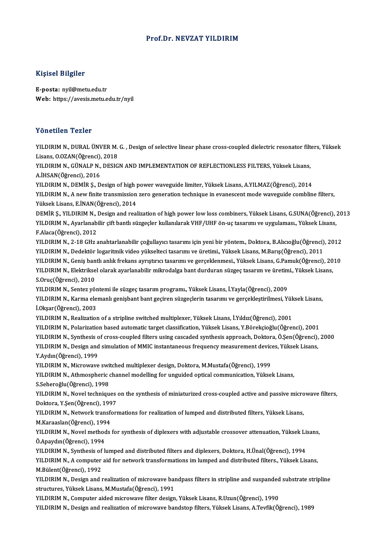## Prof.Dr.NEVZAT YILDIRIM

## Kişisel Bilgiler

E-posta: nyil@metu.edu.tr Web: https://avesis.metu.edu.tr/nyil

#### Yönetilen Tezler

Yönetilen Tezler<br>YILDIRIM N., DURAL ÜNVER M. G. , Design of selective linear phase cross-coupled dielectric resonator filters, Yüksek<br>Lisans, Q.O.7AN(Öğrensi), 2019 TURUCHUM TURIUM<br>TILDIRIM N., DURAL ÜNVER M.<br>Lisans, O.OZAN(Öğrenci), 2018<br>VILDIBIM N. CÜNALB N. DESIC YILDIRIM N., DURAL ÜNVER M. G. , Design of selective linear phase cross-coupled dielectric resonator filt<br>Lisans, O.OZAN(Öğrenci), 2018<br>YILDIRIM N., GÜNALP N., DESIGN AND IMPLEMENTATION OF REFLECTIONLESS FILTERS, Yüksek Li Lisans, O.OZAN(Öğrenci), 2018<br>YILDIRIM N., GÜNALP N., DESIGN AND IMPLEMENTATION OF REFLECTIONLESS FILTERS, Yüksek Lisans,<br>A.İHSAN(Öğrenci), 2016 YILDIRIMN.,DEMİRŞ.,Designofhigh powerwaveguide limiter,YüksekLisans,A.YILMAZ(Öğrenci),2014 A.İHSAN(Öğrenci), 2016<br>YILDIRIM N., DEMİR Ş., Design of high power waveguide limiter, Yüksek Lisans, A.YILMAZ(Öğrenci), 2014<br>YILDIRIM N., A new finite transmission zero generation technique in evanescent mode waveguide com YILDIRIM N., DEMİR Ş., Design of high <sub>l</sub><br>YILDIRIM N., A new finite transmission<br>Yüksek Lisans, E.İNAN(Öğrenci), 2014<br>DEMİR S. YU DIRIM N. Design and real YILDIRIM N., A new finite transmission zero generation technique in evanescent mode waveguide combline filters,<br>Yüksek Lisans, E.İNAN(Öğrenci), 2014<br>DEMİR Ş., YILDIRIM N., Design and realization of high power low loss comb Yüksek Lisans, E.İNAN(Öğrenci), 2014<br>DEMİR Ş., YILDIRIM N., Design and realization of high power low loss combiners, Yüksek Lisans, G.SUNA(Öğrenci),<br>YILDIRIM N., Ayarlanabilir çift bantlı süzgeçler kullanılarak VHF/UHF ön-DEMİR Ş., YILDIRIM N., <mark>)</mark><br>YILDIRIM N., Ayarlanab<br>F.Alaca(Öğrenci), 2012<br>YILDIBIM N., 2, 18 GHz. YILDIRIM N., Ayarlanabilir çift bantlı süzgeçler kullanılarak VHF/UHF ön-uç tasarımı ve uygulaması., Yüksek Lisans,<br>F.Alaca(Öğrenci), 2012<br>YILDIRIM N., 2-18 GHz anahtarlanabilir çoğullayıcı tasarımı için yeni bir yöntem., F.Alaca(Öğrenci), 2012<br>YILDIRIM N., 2-18 GHz anahtarlanabilir çoğullayıcı tasarımı için yeni bir yöntem., Doktora, B.Alıcıoğlu(Öğrenci)<br>YILDIRIM N., Dedektör logaritmik video yükselteci tasarımı ve geneeldenmesi, Vülgek Li YILDIRIM N., 2-18 GHz anahtarlanabilir çoğullayıcı tasarımı için yeni bir yöntem., Doktora, B.Alıcıoğlu(Öğrenci), 2012<br>YILDIRIM N., Dedektör logaritmik video yükselteci tasarımı ve üretimi., Yüksek Lisans, M.Barış(Öğrenci) YILDIRIM N., Dedektör logaritmik video yükselteci tasarımı ve üretimi., Yüksek Lisans, M.Barış(Öğrenci), 2011<br>YILDIRIM N., Geniş bantlı anlık frekans ayrıştırıcı tasarımı ve gerçeklenmesi., Yüksek Lisans, G.Pamuk(Öğrenci), YILDIRIM N., Geniş bantlı anlık frekans ayrıştırıcı tasarımı ve gerçeklenmesi., Yüksek Lisans, G.Pamuk(Öğrenci), 2010<br>YILDIRIM N., Elektriksel olarak ayarlanabilir mikrodalga bant durduran süzgeç tasarım ve üretimi., Yükse YILDIRIM N., Elektriksel olarak ayarlanabilir mikrodalga bant durduran süzgeç tasarım ve üretimi., Yüksek Lisans, S.Oruç(Öğrenci), 2010<br>YILDIRIM N., Sentez yöntemi ile süzgeç tasarım programı., Yüksek Lisans, İ.Yayla(Öğrenci), 2009<br>YILDIRIM N., Karma elemanlı genişbant bant geçiren süzgeçlerin tasarımı ve gerçekleştirilmesi, Yüksek Li İ.Okşar(Öğrenci), 2003<br>YILDIRIM N., Realization of a stripline switched multiplexer, Yüksek Lisans, İ.Yıldız(Öğrenci), 2001 YILDIRIM N., Karma elemanlı genişbant bant geçiren süzgeçlerin tasarımı ve gerçekleştirilmesi, Yük<br>İ.Okşar(Öğrenci), 2003<br>YILDIRIM N., Realization of a stripline switched multiplexer, Yüksek Lisans, İ.Yıldız(Öğrenci), 2001 YILDIRIMN.,Polarizationbased automatic target classification,YüksekLisans,Y.Börekçioğlu(Öğrenci),2001 YILDIRIM N., Synthesis of cross-coupled filters using cascaded synthesis approach, Doktora, Ö.Şen(Öğrenci), 2000 YILDIRIM N., Polarization based automatic target classification, Yüksek Lisans, Y.Börekçioğlu(Öğrenci), 2001<br>YILDIRIM N., Synthesis of cross-coupled filters using cascaded synthesis approach, Doktora, Ö.Şen(Öğrenci),<br>YILDI YILDIRIM N., Synthesis o<br>YILDIRIM N., Design and<br>Y.Aydın(Öğrenci), 1999<br>YU DIRIM N. Misrovayo YILDIRIM N., Design and simulation of MMIC instantaneous frequency measurement devic<br>Y.Aydın(Öğrenci), 1999<br>YILDIRIM N., Microwave switched multiplexer design, Doktora, M.Mustafa(Öğrenci), 1999<br>YILDIRIM N., Athmeenberis sh Y.Aydın(Öğrenci), 1999<br>YILDIRIM N., Microwave switched multiplexer design, Doktora, M.Mustafa(Öğrenci), 1999<br>YILDIRIM N., Athmospheric channel modelling for unguided optical communication, Yüksek Lisans,<br>S.Seheroğlu(Öğrenc YILDIRIM N., Microwave switched multiplexer design, Doktora, M.Mustafa(Öğrenci), 1999 YILDIRIM N., Athmospheric channel modelling for unguided optical communication, Yüksek Lisans,<br>S.Seheroğlu(Öğrenci), 1998<br>YILDIRIM N., Novel techniques on the synthesis of miniaturized cross-coupled active and passive micr S.Seheroğlu(Öğrenci), 1998<br>YILDIRIM N., Novel techniques<br>Doktora, Y.Şen(Öğrenci), 1997<br>YU DIBIM N. Natwork transforu YILDIRIM N., Novel techniques on the synthesis of miniaturized cross-coupled active and passive micro<br>Doktora, Y.Şen(Öğrenci), 1997<br>YILDIRIM N., Network transformations for realization of lumped and distributed filters, Yü Doktora, Y.Şen(Öğrenci), 1997<br>YILDIRIM N., Network transformations for realization of lumped and distributed filters, Yüksek Lisans,<br>M.Karaaslan(Öğrenci), 1994 YILDIRIM N., Network transformations for realization of lumped and distributed filters, Yüksek Lisans,<br>M.Karaaslan(Öğrenci), 1994<br>YILDIRIM N., Novel methods for synthesis of diplexers with adjustable crossover attenuation, M.Karaaslan(Öğrenci), 199<br>YILDIRIM N., Novel method<br>Ö.Apaydın(Öğrenci), 1994<br>YU DIRIM N. Synthosis of k YILDIRIM N., Novel methods for synthesis of diplexers with adjustable crossover attenuation, Yüksek Lig<br>Ö.Apaydın(Öğrenci), 1994<br>YILDIRIM N., Synthesis of lumped and distributed filters and diplexers, Doktora, H.Ünal(Öğren Ö.Apaydın(Öğrenci), 1994<br>YILDIRIM N., Synthesis of lumped and distributed filters and diplexers, Doktora, H.Ünal(Öğrenci), 1994<br>YILDIRIM N., A computer aid for network transformations im lumped and distributed filters., Yü YILDIRIM N., Synthesis of lumped and distributed filters and diplexers, Doktora, H.Ünal(Öğrenci), 1994 YILDIRIM N., A computer aid for network transformations im lumped and distributed filters., Yüksek Lisans,<br>M.Bülent(Öğrenci), 1992<br>YILDIRIM N., Design and realization of microwave bandpass filters in stripline and suspande M.Bülent(Öğrenci), 1992<br>YILDIRIM N., Design and realization of microwave baı<br>structures, Yüksek Lisans, M.Mustafa(Öğrenci), 1991<br>VILDIBIM N. Computer aided misrowaye filter design YILDIRIM N., Design and realization of microwave bandpass filters in stripline and suspanded<br>structures, Yüksek Lisans, M.Mustafa(Öğrenci), 1991<br>YILDIRIM N., Computer aided microwave filter design, Yüksek Lisans, R.Uzun(Öğ structures, Yüksek Lisans, M.Mustafa(Öğrenci), 1991<br>YILDIRIM N., Computer aided microwave filter design, Yüksek Lisans, R.Uzun(Öğrenci), 1990<br>YILDIRIM N., Design and realization of microwave bandstop filters, Yüksek Lisans